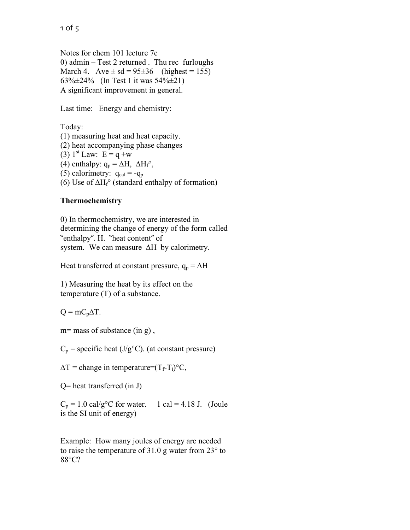Notes for chem 101 lecture 7c 0) admin – Test 2 returned . Thu rec furloughs March 4. Ave  $\pm$  sd = 95 $\pm$ 36 (highest = 155) 63%±24% (In Test 1 it was 54%±21) A significant improvement in general.

Last time: Energy and chemistry:

Today:

(1) measuring heat and heat capacity. (2) heat accompanying phase changes  $(3)$  1<sup>st</sup> Law: E = q +w (4) enthalpy:  $q_p = \Delta H$ ,  $\Delta H_f^{\circ}$ , (5) calorimetry:  $q_{cal} = -q_p$ (6) Use of  $\Delta H_f^{\circ}$  (standard enthalpy of formation)

## **Thermochemistry**

0) In thermochemistry, we are interested in determining the change of energy of the form called "enthalpy". H. "heat content" of system. We can measure ∆H by calorimetry.

Heat transferred at constant pressure,  $q_p = \Delta H$ 

1) Measuring the heat by its effect on the temperature (T) of a substance.

 $Q = mC_p\Delta T$ .

m= mass of substance (in g),

 $C_p$  = specific heat (J/g<sup>o</sup>C). (at constant pressure)

 $\Delta T$  = change in temperature= $(T_f-T_i)^{\circ}C$ ,

Q= heat transferred (in J)

 $C_p = 1.0 \text{ cal/g}^{\circ}\text{C}$  for water. 1 cal = 4.18 J. (Joule is the SI unit of energy)

Example: How many joules of energy are needed to raise the temperature of 31.0 g water from 23° to 88°C?

1 of 5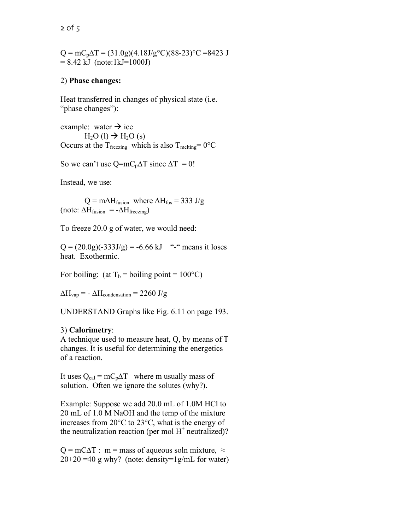$Q = mC_p\Delta T = (31.0g)(4.18J/g<sup>o</sup>C)(88-23)<sup>o</sup>C = 8423 J$  $= 8.42$  kJ (note:1kJ=1000J)

## 2) **Phase changes:**

Heat transferred in changes of physical state (i.e. "phase changes"):

example: water  $\rightarrow$  ice  $H<sub>2</sub>O (l) \rightarrow H<sub>2</sub>O (s)$ Occurs at the T<sub>freezing</sub> which is also T<sub>melting</sub>=  $0^{\circ}$ C

So we can't use Q=mC<sub>p</sub> $\Delta T$  since  $\Delta T = 0!$ 

Instead, we use:

 $Q = m\Delta H_{\text{fusion}}$  where  $\Delta H_{\text{fus}} = 333 \text{ J/g}$ (note:  $\Delta H_{fusion} = -\Delta H_{freezing}$ )

To freeze 20.0 g of water, we would need:

 $Q = (20.0g)(-333J/g) = -6.66 \text{ kJ}$  "-" means it loses heat. Exothermic.

For boiling: (at  $T_b$  = boiling point = 100°C)

 $\Delta H_{\text{vap}} = -\Delta H_{\text{condensation}} = 2260 \text{ J/g}$ 

UNDERSTAND Graphs like Fig. 6.11 on page 193.

## 3) **Calorimetry**:

A technique used to measure heat, Q, by means of T changes. It is useful for determining the energetics of a reaction.

It uses  $Q_{cal} = mC_p\Delta T$  where m usually mass of solution. Often we ignore the solutes (why?).

Example: Suppose we add 20.0 mL of 1.0M HCl to 20 mL of 1.0 M NaOH and the temp of the mixture increases from 20°C to 23°C, what is the energy of the neutralization reaction (per mol  $H^+$  neutralized)?

 $Q = mC\Delta T$ : m = mass of aqueous soln mixture,  $\approx$  $20+20 = 40$  g why? (note: density=1g/mL for water)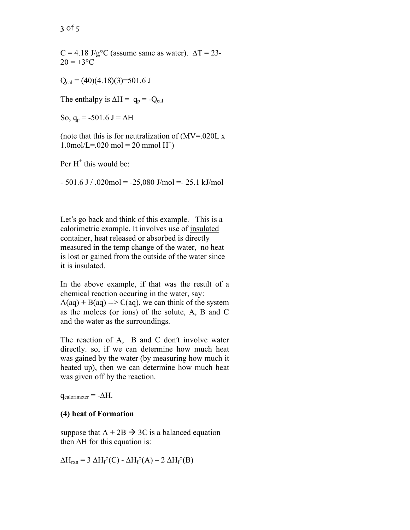$C = 4.18$  J/g<sup>o</sup>C (assume same as water).  $\Delta T = 23$ - $20 = +3$ °C

 $Q_{cal} = (40)(4.18)(3)=501.6$  J

The enthalpy is  $\Delta H = q_p = -Q_{cal}$ 

So,  $q_p = -501.6$  J =  $\Delta H$ 

(note that this is for neutralization of  $(MV=020L x)$  $1.0$ mol/L=.020 mol = 20 mmol H<sup>+</sup>)

Per  $H^+$  this would be:

 $-501.6$  J / .020mol =  $-25,080$  J/mol =  $25.1$  kJ/mol

Let's go back and think of this example. This is a calorimetric example. It involves use of insulated container, heat released or absorbed is directly measured in the temp change of the water, no heat is lost or gained from the outside of the water since it is insulated.

In the above example, if that was the result of a chemical reaction occuring in the water, say:  $A(aq) + B(aq) \rightarrow C(aq)$ , we can think of the system as the molecs (or ions) of the solute, A, B and C and the water as the surroundings.

The reaction of A, B and C don't involve water directly. so, if we can determine how much heat was gained by the water (by measuring how much it heated up), then we can determine how much heat was given off by the reaction.

 $q_{calorimeter} = -\Delta H$ .

## **(4) heat of Formation**

suppose that  $A + 2B \rightarrow 3C$  is a balanced equation then ∆H for this equation is:

 $\Delta H_{rxn}$  = 3  $\Delta H_f^{\circ}(C)$  -  $\Delta H_f^{\circ}(A)$  – 2  $\Delta H_f^{\circ}(B)$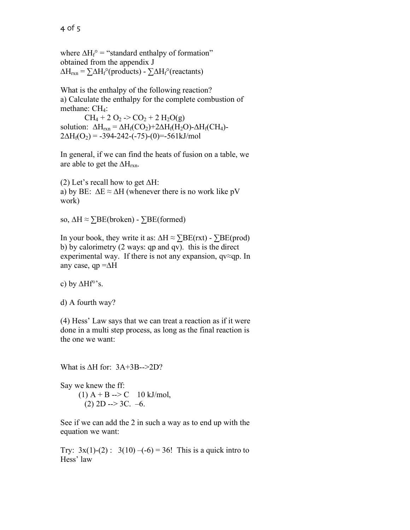where  $\Delta H_f^{\circ}$  = "standard enthalpy of formation" obtained from the appendix J  $\Delta H_{rxn} = \sum \Delta H_f^{\circ}$ (products) -  $\sum \Delta H_f^{\circ}$ (reactants)

What is the enthalpy of the following reaction? a) Calculate the enthalpy for the complete combustion of methane: CH<sub>4</sub>:

 $CH_4 + 2 O_2 \rightarrow CO_2 + 2 H_2O(g)$ solution:  $\Delta H_{rxn} = \Delta H_f(CO_2) + 2\Delta H_f(H_2O) - \Delta H_f(CH_4)$ - $2\Delta H_f(O_2) = -394-242-(-75)-(0) = -561kJ/mol$ 

In general, if we can find the heats of fusion on a table, we are able to get the  $\Delta H_{rxn}$ .

(2) Let's recall how to get  $\Delta H$ : a) by BE:  $\Delta E \approx \Delta H$  (whenever there is no work like pV work)

so, ΔH  $\approx$   $\Sigma$ BE(broken) -  $\Sigma$ BE(formed)

In your book, they write it as:  $\Delta H \approx \Sigma BE(rxt) - \Sigma BE(prod)$ b) by calorimetry (2 ways: qp and qv). this is the direct experimental way. If there is not any expansion, qv≈qp. In any case, qp  $=\Delta H$ 

c) by ∆Hf<sup>°</sup>'s.

d) A fourth way?

(4) Hess' Law says that we can treat a reaction as if it were done in a multi step process, as long as the final reaction is the one we want:

What is  $\Delta H$  for:  $3A+3B\rightarrow2D$ ?

Say we knew the ff: (1)  $A + B \rightarrow C$  10 kJ/mol,  $(2)$  2D --> 3C. -6.

See if we can add the 2 in such a way as to end up with the equation we want:

Try:  $3x(1)-(2)$ :  $3(10) - (-6) = 36!$  This is a quick intro to Hess' law